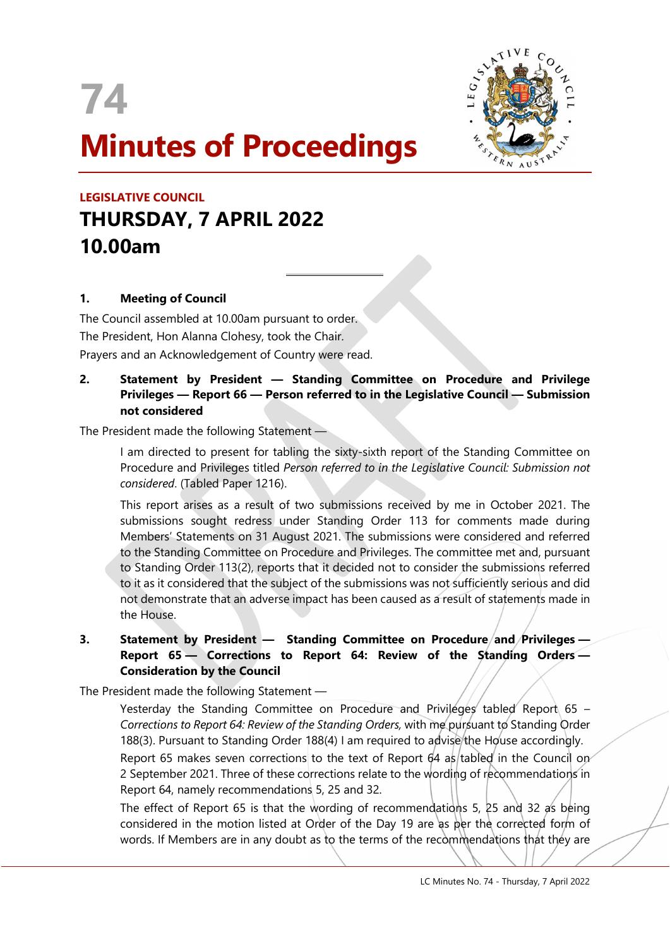



# Minutes of Proceedings

 $\overline{a}$ 

# LEGISLATIVE COUNCIL THURSDAY, 7 APRIL 2022 10.00am

#### 1. Meeting of Council

The Council assembled at 10.00am pursuant to order. The President, Hon Alanna Clohesy, took the Chair. Prayers and an Acknowledgement of Country were read.

#### 2. Statement by President — Standing Committee on Procedure and Privilege Privileges — Report 66 — Person referred to in the Legislative Council — Submission not considered

The President made the following Statement —

I am directed to present for tabling the sixty-sixth report of the Standing Committee on Procedure and Privileges titled Person referred to in the Legislative Council: Submission not considered. (Tabled Paper 1216).

This report arises as a result of two submissions received by me in October 2021. The submissions sought redress under Standing Order 113 for comments made during Members' Statements on 31 August 2021. The submissions were considered and referred to the Standing Committee on Procedure and Privileges. The committee met and, pursuant to Standing Order 113(2), reports that it decided not to consider the submissions referred to it as it considered that the subject of the submissions was not sufficiently serious and did not demonstrate that an adverse impact has been caused as a result of statements made in the House.

#### 3. Statement by President — Standing Committee on Procedure/and/Privileges — Report 65 — Corrections to Report 64: Review of the Standing Orders — Consideration by the Council

The President made the following Statement —

Yesterday the Standing Committee on Procedure and Privileges tabled Report 65 – Corrections to Report 64: Review of the Standing Orders, with me pursuant to Standing Order 188(3). Pursuant to Standing Order 188(4) I am required to a dvise the House accordingly. Report 65 makes seven corrections to the text of Report 64 as tabled in the Council on 2 September 2021. Three of these corrections relate to the wording of recommendations in Report 64, namely recommendations 5, 25 and 32.

The effect of Report 65 is that the wording of recommendations 5, 25 and 32 as being considered in the motion listed at Order of the Day 19 are as per the corrected form of words. If Members are in any doubt as to the terms of the recommendations that they are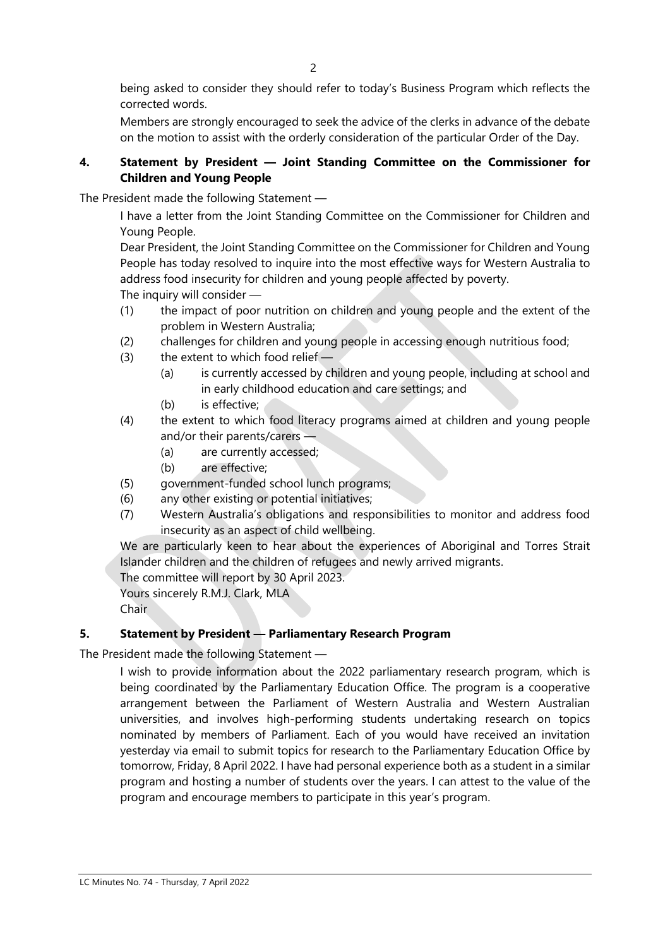being asked to consider they should refer to today's Business Program which reflects the corrected words.

Members are strongly encouraged to seek the advice of the clerks in advance of the debate on the motion to assist with the orderly consideration of the particular Order of the Day.

#### 4. Statement by President — Joint Standing Committee on the Commissioner for Children and Young People

The President made the following Statement —

I have a letter from the Joint Standing Committee on the Commissioner for Children and Young People.

Dear President, the Joint Standing Committee on the Commissioner for Children and Young People has today resolved to inquire into the most effective ways for Western Australia to address food insecurity for children and young people affected by poverty. The inquiry will consider —

- (1) the impact of poor nutrition on children and young people and the extent of the problem in Western Australia;
- (2) challenges for children and young people in accessing enough nutritious food;
- (3) the extent to which food relief
	- (a) is currently accessed by children and young people, including at school and in early childhood education and care settings; and
	- (b) is effective;
- (4) the extent to which food literacy programs aimed at children and young people and/or their parents/carers —
	- (a) are currently accessed;
	- (b) are effective;
- (5) government-funded school lunch programs;
- (6) any other existing or potential initiatives;
- (7) Western Australia's obligations and responsibilities to monitor and address food insecurity as an aspect of child wellbeing.

We are particularly keen to hear about the experiences of Aboriginal and Torres Strait Islander children and the children of refugees and newly arrived migrants.

The committee will report by 30 April 2023.

Yours sincerely R.M.J. Clark, MLA

Chair

### 5. Statement by President — Parliamentary Research Program

The President made the following Statement —

I wish to provide information about the 2022 parliamentary research program, which is being coordinated by the Parliamentary Education Office. The program is a cooperative arrangement between the Parliament of Western Australia and Western Australian universities, and involves high-performing students undertaking research on topics nominated by members of Parliament. Each of you would have received an invitation yesterday via email to submit topics for research to the Parliamentary Education Office by tomorrow, Friday, 8 April 2022. I have had personal experience both as a student in a similar program and hosting a number of students over the years. I can attest to the value of the program and encourage members to participate in this year's program.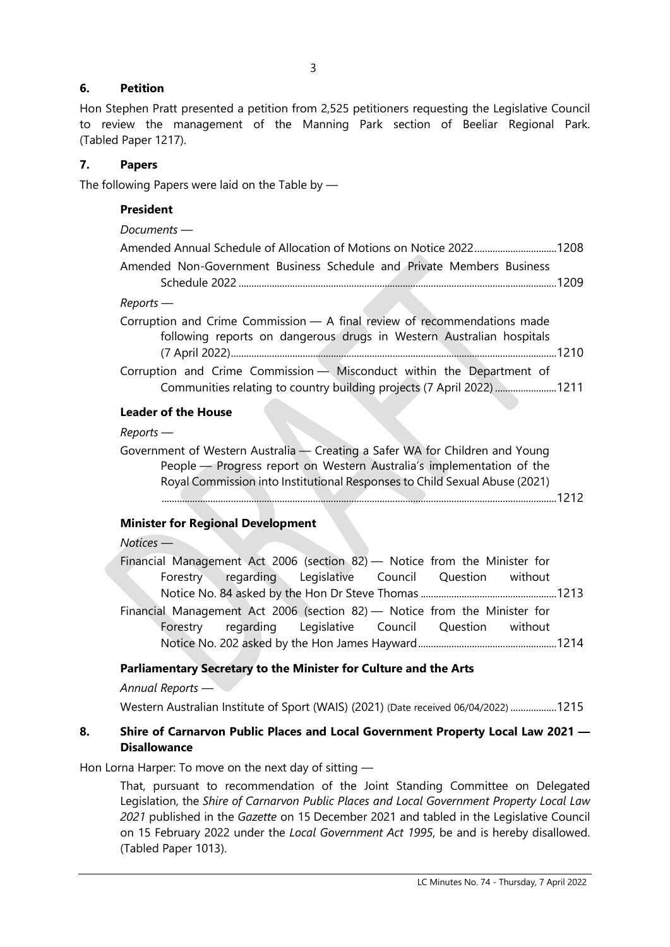#### 6. Petition

Hon Stephen Pratt presented a petition from 2,525 petitioners requesting the Legislative Council to review the management of the Manning Park section of Beeliar Regional Park. (Tabled Paper 1217).

#### 7. Papers

The following Papers were laid on the Table by —

#### President

| $Documents -$                                                            |
|--------------------------------------------------------------------------|
| Amended Annual Schedule of Allocation of Motions on Notice 20221208      |
| Amended Non-Government Business Schedule and Private Members Business    |
|                                                                          |
| $Reports$ —                                                              |
| Corruption and Crime Commission - A final review of recommendations made |
| following reports on dangerous drugs in Western Australian hospitals     |
|                                                                          |
| Corruption and Crime Commission - Misconduct within the Department of    |
| Communities relating to country building projects (7 April 2022)  1211   |

#### Leader of the House

#### Reports —

Government of Western Australia — Creating a Safer WA for Children and Young People — Progress report on Western Australia's implementation of the Royal Commission into Institutional Responses to Child Sexual Abuse (2021)

.......................................................................................................................................................... 1212

#### Minister for Regional Development

#### Notices —

| Financial Management Act 2006 (section 82) - Notice from the Minister for |                                                         |  |  |  |  |  |
|---------------------------------------------------------------------------|---------------------------------------------------------|--|--|--|--|--|
|                                                                           | Forestry regarding Legislative Council Question without |  |  |  |  |  |
|                                                                           |                                                         |  |  |  |  |  |
| Financial Management Act 2006 (section 82) - Notice from the Minister for |                                                         |  |  |  |  |  |
|                                                                           | Forestry regarding Legislative Council Question without |  |  |  |  |  |

Notice No. 202 asked by the Hon James Hayward ...................................................... 1214

#### Parliamentary Secretary to the Minister for Culture and the Arts

Annual Reports —

Western Australian Institute of Sport (WAIS) (2021) (Date received 06/04/2022) .................. 1215

#### 8. Shire of Carnarvon Public Places and Local Government Property Local Law 2021 — **Disallowance**

Hon Lorna Harper: To move on the next day of sitting —

That, pursuant to recommendation of the Joint Standing Committee on Delegated Legislation, the Shire of Carnarvon Public Places and Local Government Property Local Law 2021 published in the Gazette on 15 December 2021 and tabled in the Legislative Council on 15 February 2022 under the Local Government Act 1995, be and is hereby disallowed. (Tabled Paper 1013).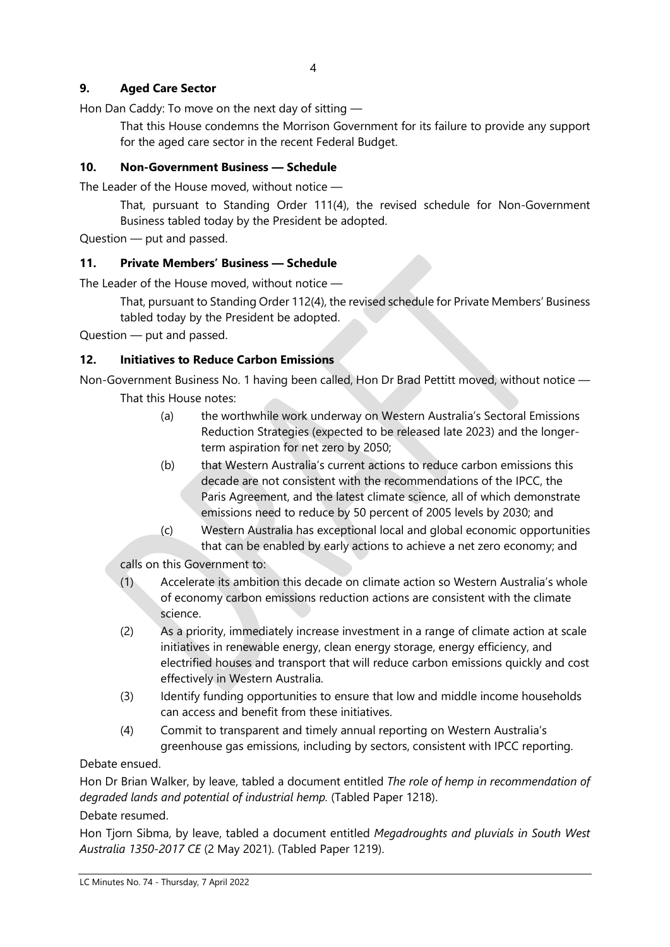#### 9. Aged Care Sector

Hon Dan Caddy: To move on the next day of sitting —

That this House condemns the Morrison Government for its failure to provide any support for the aged care sector in the recent Federal Budget.

#### 10. Non-Government Business — Schedule

The Leader of the House moved, without notice —

That, pursuant to Standing Order 111(4), the revised schedule for Non-Government Business tabled today by the President be adopted.

Question — put and passed.

#### 11. Private Members' Business — Schedule

The Leader of the House moved, without notice —

That, pursuant to Standing Order 112(4), the revised schedule for Private Members' Business tabled today by the President be adopted.

Question — put and passed.

#### 12. Initiatives to Reduce Carbon Emissions

Non-Government Business No. 1 having been called, Hon Dr Brad Pettitt moved, without notice — That this House notes:

- (a) the worthwhile work underway on Western Australia's Sectoral Emissions Reduction Strategies (expected to be released late 2023) and the longerterm aspiration for net zero by 2050;
- (b) that Western Australia's current actions to reduce carbon emissions this decade are not consistent with the recommendations of the IPCC, the Paris Agreement, and the latest climate science, all of which demonstrate emissions need to reduce by 50 percent of 2005 levels by 2030; and
- (c) Western Australia has exceptional local and global economic opportunities that can be enabled by early actions to achieve a net zero economy; and

calls on this Government to:

- (1) Accelerate its ambition this decade on climate action so Western Australia's whole of economy carbon emissions reduction actions are consistent with the climate science.
- (2) As a priority, immediately increase investment in a range of climate action at scale initiatives in renewable energy, clean energy storage, energy efficiency, and electrified houses and transport that will reduce carbon emissions quickly and cost effectively in Western Australia.
- (3) Identify funding opportunities to ensure that low and middle income households can access and benefit from these initiatives.
- (4) Commit to transparent and timely annual reporting on Western Australia's greenhouse gas emissions, including by sectors, consistent with IPCC reporting.

Debate ensued.

Hon Dr Brian Walker, by leave, tabled a document entitled The role of hemp in recommendation of degraded lands and potential of industrial hemp. (Tabled Paper 1218).

Debate resumed.

Hon Tjorn Sibma, by leave, tabled a document entitled Megadroughts and pluvials in South West Australia 1350-2017 CE (2 May 2021). (Tabled Paper 1219).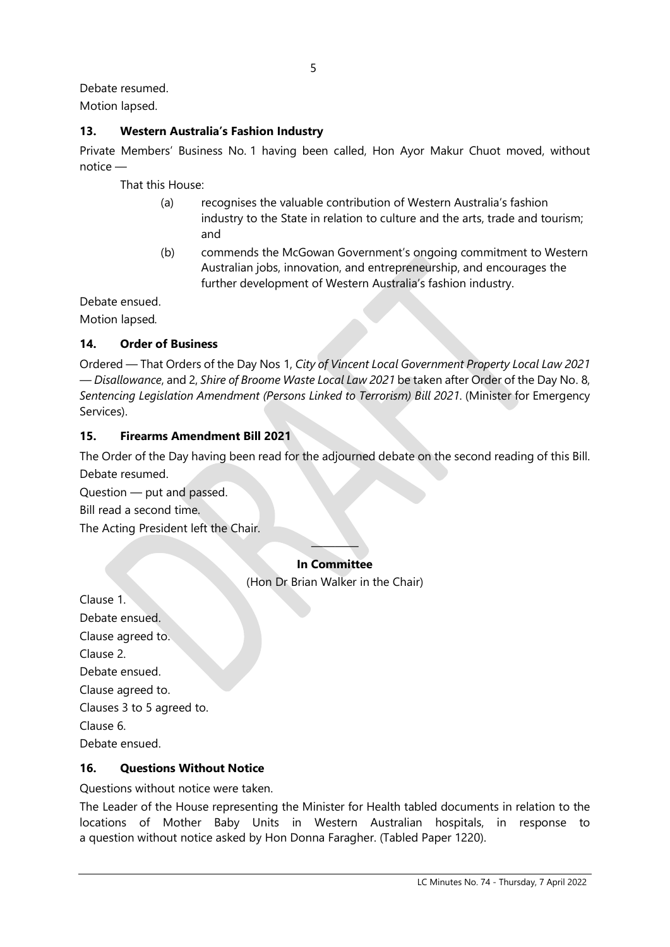Debate resumed.

Motion lapsed.

# 13. Western Australia's Fashion Industry

Private Members' Business No. 1 having been called, Hon Ayor Makur Chuot moved, without notice —

That this House:

- (a) recognises the valuable contribution of Western Australia's fashion industry to the State in relation to culture and the arts, trade and tourism; and
- (b) commends the McGowan Government's ongoing commitment to Western Australian jobs, innovation, and entrepreneurship, and encourages the further development of Western Australia's fashion industry.

Debate ensued.

Motion lapsed.

# 14. Order of Business

Ordered — That Orders of the Day Nos 1, City of Vincent Local Government Property Local Law 2021 — Disallowance, and 2, Shire of Broome Waste Local Law 2021 be taken after Order of the Day No. 8, Sentencing Legislation Amendment (Persons Linked to Terrorism) Bill 2021. (Minister for Emergency Services).

## 15. Firearms Amendment Bill 2021

The Order of the Day having been read for the adjourned debate on the second reading of this Bill. Debate resumed.

Question — put and passed. Bill read a second time. The Acting President left the Chair.

#### ———— In Committee

(Hon Dr Brian Walker in the Chair)

Clause 1. Debate ensued. Clause agreed to. Clause 2. Debate ensued. Clause agreed to. Clauses 3 to 5 agreed to. Clause 6. Debate ensued.

# 16. Questions Without Notice

Questions without notice were taken.

The Leader of the House representing the Minister for Health tabled documents in relation to the locations of Mother Baby Units in Western Australian hospitals, in response to a question without notice asked by Hon Donna Faragher. (Tabled Paper 1220).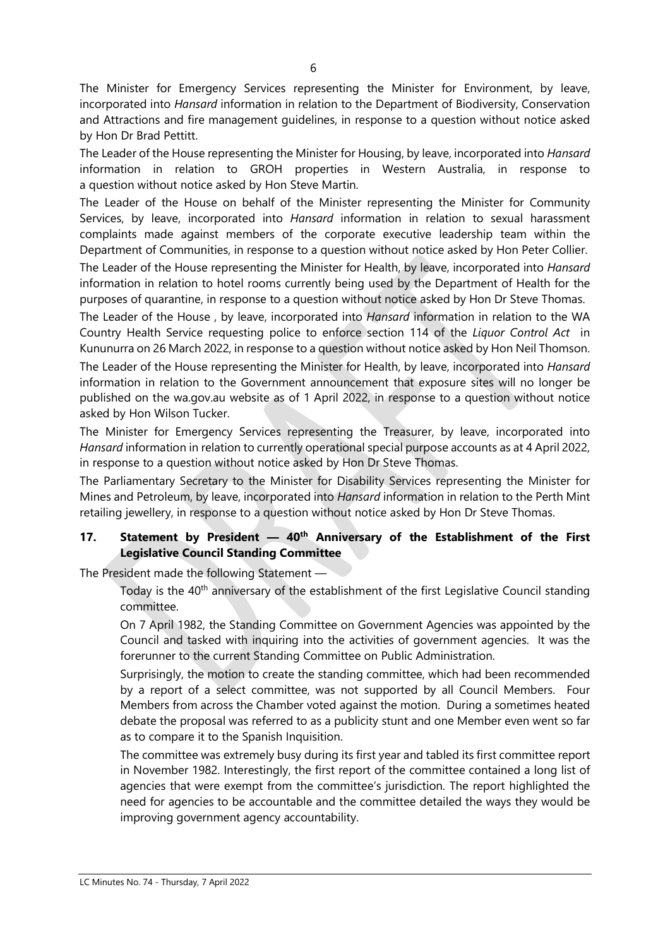The Minister for Emergency Services representing the Minister for Environment, by leave, incorporated into Hansard information in relation to the Department of Biodiversity, Conservation and Attractions and fire management guidelines, in response to a question without notice asked by Hon Dr Brad Pettitt.

The Leader of the House representing the Minister for Housing, by leave, incorporated into Hansard information in relation to GROH properties in Western Australia, in response to a question without notice asked by Hon Steve Martin.

The Leader of the House on behalf of the Minister representing the Minister for Community Services, by leave, incorporated into Hansard information in relation to sexual harassment complaints made against members of the corporate executive leadership team within the Department of Communities, in response to a question without notice asked by Hon Peter Collier.

The Leader of the House representing the Minister for Health, by leave, incorporated into Hansard information in relation to hotel rooms currently being used by the Department of Health for the purposes of quarantine, in response to a question without notice asked by Hon Dr Steve Thomas.

The Leader of the House, by leave, incorporated into Hansard information in relation to the WA Country Health Service requesting police to enforce section 114 of the Liquor Control Act in Kununurra on 26 March 2022, in response to a question without notice asked by Hon Neil Thomson.

The Leader of the House representing the Minister for Health, by leave, incorporated into Hansard information in relation to the Government announcement that exposure sites will no longer be published on the wa.gov.au website as of 1 April 2022, in response to a question without notice asked by Hon Wilson Tucker.

The Minister for Emergency Services representing the Treasurer, by leave, incorporated into Hansard information in relation to currently operational special purpose accounts as at 4 April 2022, in response to a question without notice asked by Hon Dr Steve Thomas.

The Parliamentary Secretary to the Minister for Disability Services representing the Minister for Mines and Petroleum, by leave, incorporated into Hansard information in relation to the Perth Mint retailing jewellery, in response to a question without notice asked by Hon Dr Steve Thomas.

#### 17. Statement by President  $-$  40<sup>th</sup> Anniversary of the Establishment of the First Legislative Council Standing Committee

The President made the following Statement —

Today is the 40<sup>th</sup> anniversary of the establishment of the first Legislative Council standing committee.

On 7 April 1982, the Standing Committee on Government Agencies was appointed by the Council and tasked with inquiring into the activities of government agencies. It was the forerunner to the current Standing Committee on Public Administration.

Surprisingly, the motion to create the standing committee, which had been recommended by a report of a select committee, was not supported by all Council Members. Four Members from across the Chamber voted against the motion. During a sometimes heated debate the proposal was referred to as a publicity stunt and one Member even went so far as to compare it to the Spanish Inquisition.

The committee was extremely busy during its first year and tabled its first committee report in November 1982. Interestingly, the first report of the committee contained a long list of agencies that were exempt from the committee's jurisdiction. The report highlighted the need for agencies to be accountable and the committee detailed the ways they would be improving government agency accountability.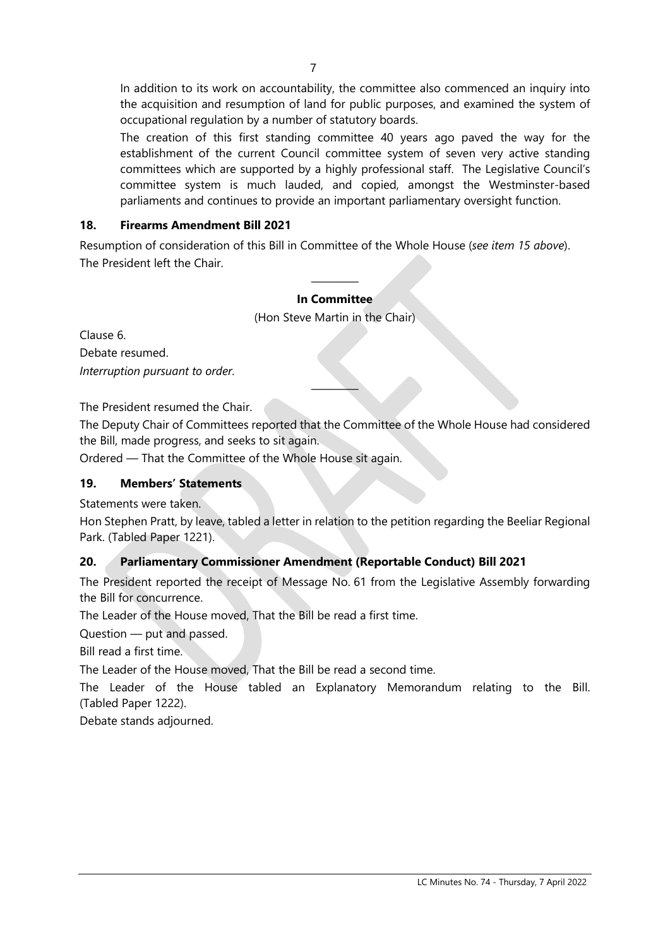In addition to its work on accountability, the committee also commenced an inquiry into the acquisition and resumption of land for public purposes, and examined the system of occupational regulation by a number of statutory boards.

The creation of this first standing committee 40 years ago paved the way for the establishment of the current Council committee system of seven very active standing committees which are supported by a highly professional staff. The Legislative Council's committee system is much lauded, and copied, amongst the Westminster-based parliaments and continues to provide an important parliamentary oversight function.

#### 18. Firearms Amendment Bill 2021

Resumption of consideration of this Bill in Committee of the Whole House (see item 15 above). The President left the Chair.

#### ———— In Committee

(Hon Steve Martin in the Chair)

Clause 6. Debate resumed. Interruption pursuant to order.

The President resumed the Chair.

The Deputy Chair of Committees reported that the Committee of the Whole House had considered the Bill, made progress, and seeks to sit again.

————

Ordered — That the Committee of the Whole House sit again.

#### 19. Members' Statements

Statements were taken.

Hon Stephen Pratt, by leave, tabled a letter in relation to the petition regarding the Beeliar Regional Park. (Tabled Paper 1221).

#### 20. Parliamentary Commissioner Amendment (Reportable Conduct) Bill 2021

The President reported the receipt of Message No. 61 from the Legislative Assembly forwarding the Bill for concurrence.

The Leader of the House moved, That the Bill be read a first time.

Question — put and passed.

Bill read a first time.

The Leader of the House moved, That the Bill be read a second time.

The Leader of the House tabled an Explanatory Memorandum relating to the Bill. (Tabled Paper 1222).

Debate stands adjourned.